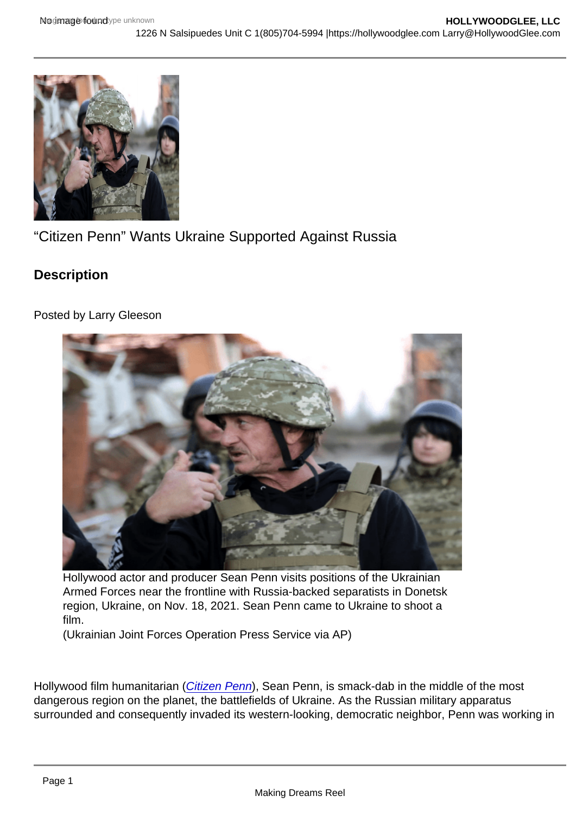"Citizen Penn" Wants Ukraine Supported Against Russia

**Description** 

Posted by Larry Gleeson

Hollywood actor and producer Sean Penn visits positions of the Ukrainian Armed Forces near the frontline with Russia-backed separatists in Donetsk region, Ukraine, on Nov. 18, 2021. Sean Penn came to Ukraine to shoot a film.

(Ukrainian Joint Forces Operation Press Service via AP)

Hollywood film humanitarian [\(Citizen Penn](https://hollywoodglee.com/2020/10/25/citizen-penn-don-hardy-2020-usa/)), Sean Penn, is smack-dab in the middle of the most dangerous region on the planet, the battlefields of Ukraine. As the Russian military apparatus surrounded and consequently invaded its western-looking, democratic neighbor, Penn was working in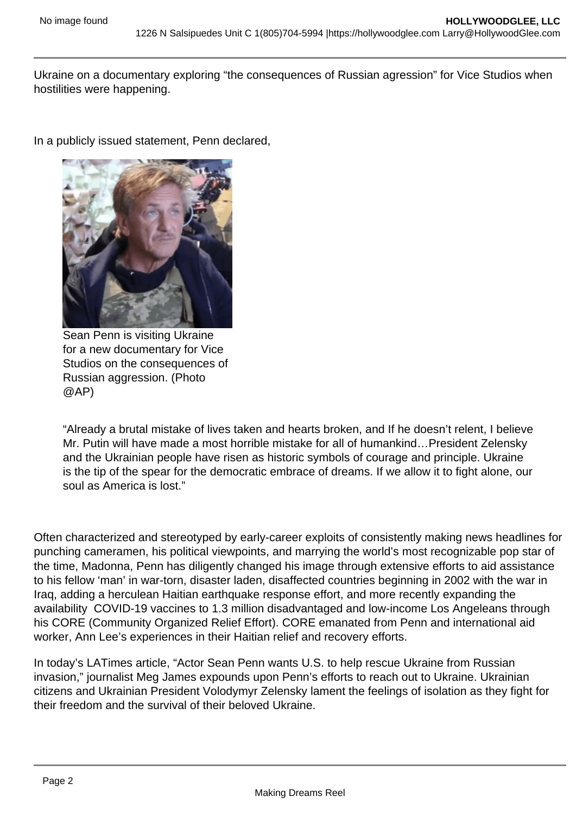Ukraine on a documentary exploring "the consequences of Russian agression" for Vice Studios when hostilities were happening.

In a publicly issued statement, Penn declared,

Sean Penn is visiting Ukraine for a new documentary for Vice Studios on the consequences of Russian aggression. (Photo @AP)

"Already a brutal mistake of lives taken and hearts broken, and If he doesn't relent, I believe Mr. Putin will have made a most horrible mistake for all of humankind…President Zelensky and the Ukrainian people have risen as historic symbols of courage and principle. Ukraine is the tip of the spear for the democratic embrace of dreams. If we allow it to fight alone, our soul as America is lost."

Often characterized and stereotyped by early-career exploits of consistently making news headlines for punching cameramen, his political viewpoints, and marrying the world's most recognizable pop star of the time, Madonna, Penn has diligently changed his image through extensive efforts to aid assistance to his fellow 'man' in war-torn, disaster laden, disaffected countries beginning in 2002 with the war in Iraq, adding a herculean Haitian earthquake response effort, and more recently expanding the availability COVID-19 vaccines to 1.3 million disadvantaged and low-income Los Angeleans through his CORE (Community Organized Relief Effort). CORE emanated from Penn and international aid worker, Ann Lee's experiences in their Haitian relief and recovery efforts.

In today's LATimes article, "Actor Sean Penn wants U.S. to help rescue Ukraine from Russian invasion," journalist Meg James expounds upon Penn's efforts to reach out to Ukraine. Ukrainian citizens and Ukrainian President Volodymyr Zelensky lament the feelings of isolation as they fight for their freedom and the survival of their beloved Ukraine.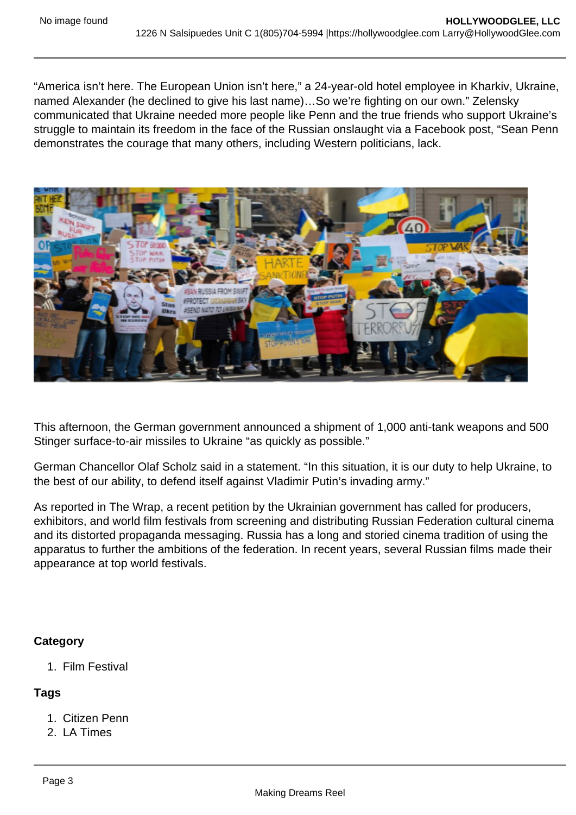"America isn't here. The European Union isn't here," a 24-year-old hotel employee in Kharkiv, Ukraine, named Alexander (he declined to give his last name)…So we're fighting on our own." Zelensky communicated that Ukraine needed more people like Penn and the true friends who support Ukraine's struggle to maintain its freedom in the face of the Russian onslaught via a Facebook post, "Sean Penn demonstrates the courage that many others, including Western politicians, lack.

This afternoon, the German government announced a shipment of 1,000 anti-tank weapons and 500 Stinger surface-to-air missiles to Ukraine "as quickly as possible."

German Chancellor Olaf Scholz said in a statement. "In this situation, it is our duty to help Ukraine, to the best of our ability, to defend itself against Vladimir Putin's invading army."

As reported in The Wrap, a recent petition by the Ukrainian government has called for producers, exhibitors, and world film festivals from screening and distributing Russian Federation cultural cinema and its distorted propaganda messaging. Russia has a long and storied cinema tradition of using the apparatus to further the ambitions of the federation. In recent years, several Russian films made their appearance at top world festivals.

**Category** 

1. Film Festival

Tags

- 1. Citizen Penn
- 2. LA Times